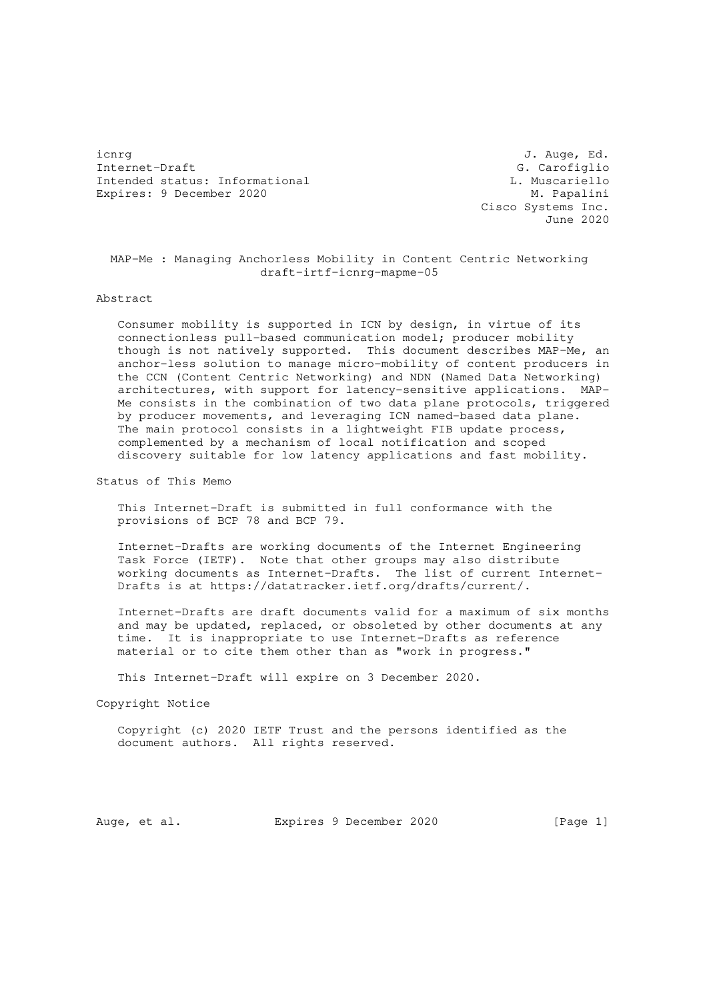icnrg J. Auge, Ed. Internet-Draft (Carofiglio de Carofiglio de Carofiglio de Carofiglio de Carofiglio de Carofiglio de Carofiglio de Carofiglio de Carofiglio de Carofiglio de Carofiglio de Carofiglio de Carofiglio de Carofiglio de Carofiglio Intended status: Informational Expires: 9 December 2020 M. Papalini

 Cisco Systems Inc. June 2020

 MAP-Me : Managing Anchorless Mobility in Content Centric Networking draft-irtf-icnrg-mapme-05

Abstract

 Consumer mobility is supported in ICN by design, in virtue of its connectionless pull-based communication model; producer mobility though is not natively supported. This document describes MAP-Me, an anchor-less solution to manage micro-mobility of content producers in the CCN (Content Centric Networking) and NDN (Named Data Networking) architectures, with support for latency-sensitive applications. MAP- Me consists in the combination of two data plane protocols, triggered by producer movements, and leveraging ICN named-based data plane. The main protocol consists in a lightweight FIB update process, complemented by a mechanism of local notification and scoped discovery suitable for low latency applications and fast mobility.

Status of This Memo

 This Internet-Draft is submitted in full conformance with the provisions of BCP 78 and BCP 79.

 Internet-Drafts are working documents of the Internet Engineering Task Force (IETF). Note that other groups may also distribute working documents as Internet-Drafts. The list of current Internet- Drafts is at https://datatracker.ietf.org/drafts/current/.

 Internet-Drafts are draft documents valid for a maximum of six months and may be updated, replaced, or obsoleted by other documents at any time. It is inappropriate to use Internet-Drafts as reference material or to cite them other than as "work in progress."

This Internet-Draft will expire on 3 December 2020.

Copyright Notice

 Copyright (c) 2020 IETF Trust and the persons identified as the document authors. All rights reserved.

Auge, et al. Expires 9 December 2020 [Page 1]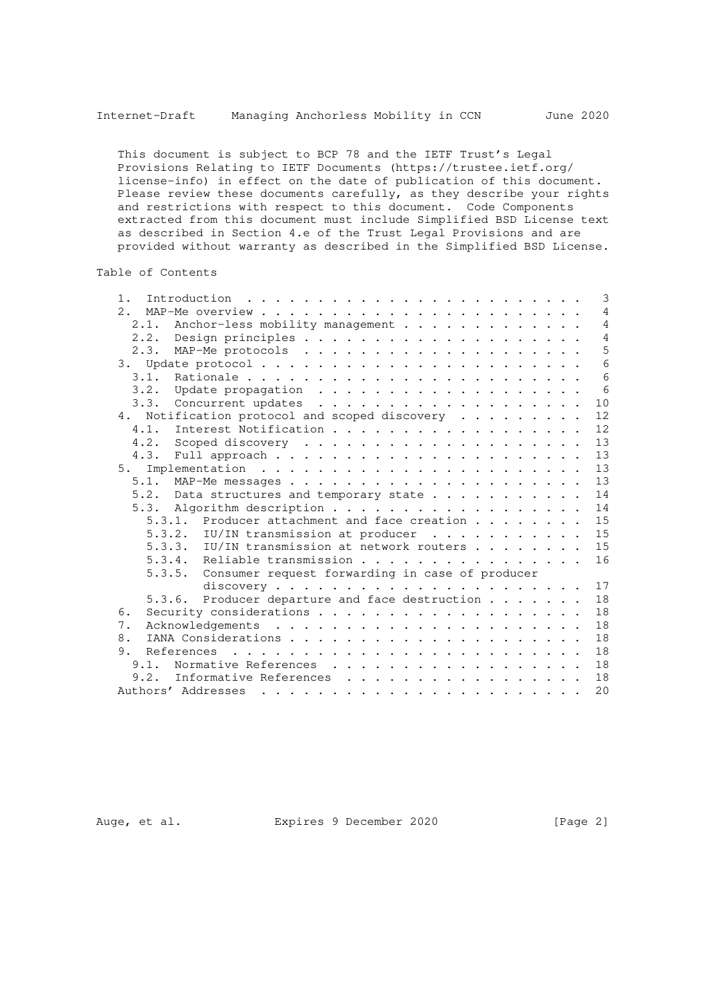This document is subject to BCP 78 and the IETF Trust's Legal Provisions Relating to IETF Documents (https://trustee.ietf.org/ license-info) in effect on the date of publication of this document. Please review these documents carefully, as they describe your rights and restrictions with respect to this document. Code Components extracted from this document must include Simplified BSD License text as described in Section 4.e of the Trust Legal Provisions and are provided without warranty as described in the Simplified BSD License.

# Table of Contents

| 1.<br>Introduction $\ldots \ldots \ldots \ldots \ldots \ldots \ldots \ldots$   | 3              |
|--------------------------------------------------------------------------------|----------------|
| 2.                                                                             | $\overline{4}$ |
| Anchor-less mobility management<br>2.1.                                        | $\overline{4}$ |
| 2.2.                                                                           | $\overline{4}$ |
| 2.3.                                                                           | 5              |
|                                                                                | 6              |
| 3.1.                                                                           | 6              |
|                                                                                | 6              |
| 3.3.                                                                           | 10             |
| 4. Notification protocol and scoped discovery                                  | 12             |
| Interest Notification<br>4.1.                                                  | 12             |
|                                                                                | 13             |
|                                                                                | 13             |
| Implementation $\ldots \ldots \ldots \ldots \ldots \ldots \ldots \ldots$<br>5. | 13             |
|                                                                                | 13             |
| 5.2. Data structures and temporary state                                       | 14             |
| 5.3. Algorithm description                                                     | 14             |
| Producer attachment and face creation<br>5.3.1.                                | 15             |
| 5.3.2.                                                                         | 15             |
| IU/IN transmission at producer                                                 | 15             |
| 5.3.3. IU/IN transmission at network routers                                   |                |
| 5.3.4. Reliable transmission                                                   | 16             |
| 5.3.5. Consumer request forwarding in case of producer                         |                |
|                                                                                | 17             |
| 5.3.6. Producer departure and face destruction                                 | 18             |
| 6.                                                                             | 18             |
| 7.                                                                             | 18             |
| 8.                                                                             | 18             |
| 9.<br>References                                                               | 18             |
| 9.1. Normative References                                                      | 18             |
| Informative References<br>9.2.                                                 | 18             |
|                                                                                | 20             |

Auge, et al. Expires 9 December 2020 [Page 2]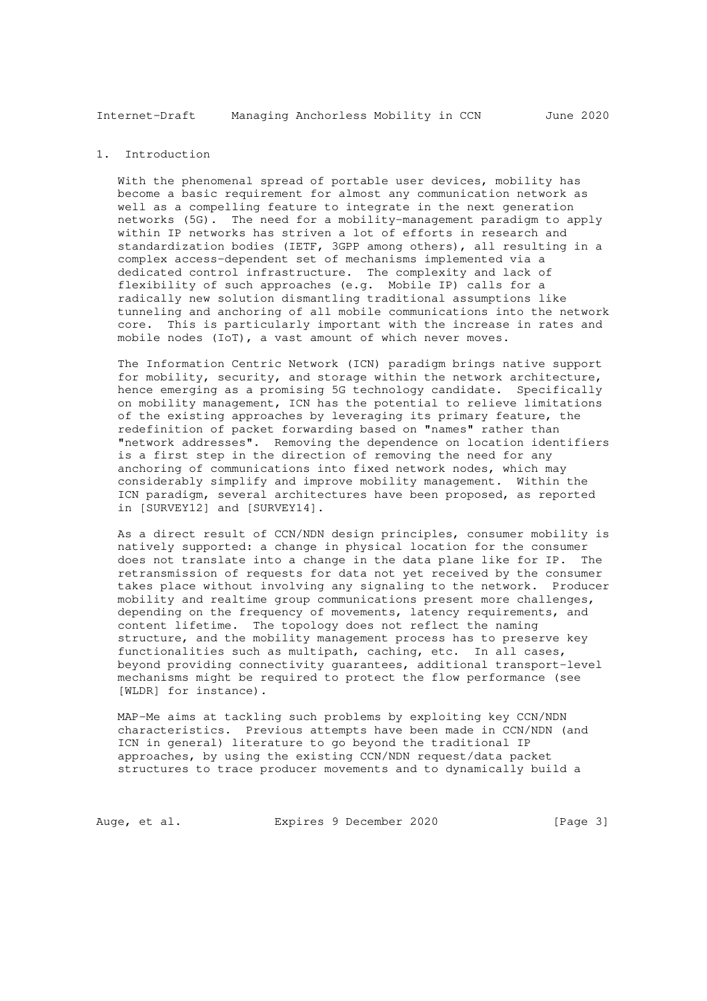Internet-Draft Managing Anchorless Mobility in CCN June 2020

# 1. Introduction

 With the phenomenal spread of portable user devices, mobility has become a basic requirement for almost any communication network as well as a compelling feature to integrate in the next generation networks (5G). The need for a mobility-management paradigm to apply within IP networks has striven a lot of efforts in research and standardization bodies (IETF, 3GPP among others), all resulting in a complex access-dependent set of mechanisms implemented via a dedicated control infrastructure. The complexity and lack of flexibility of such approaches (e.g. Mobile IP) calls for a radically new solution dismantling traditional assumptions like tunneling and anchoring of all mobile communications into the network core. This is particularly important with the increase in rates and mobile nodes (IoT), a vast amount of which never moves.

 The Information Centric Network (ICN) paradigm brings native support for mobility, security, and storage within the network architecture, hence emerging as a promising 5G technology candidate. Specifically on mobility management, ICN has the potential to relieve limitations of the existing approaches by leveraging its primary feature, the redefinition of packet forwarding based on "names" rather than "network addresses". Removing the dependence on location identifiers is a first step in the direction of removing the need for any anchoring of communications into fixed network nodes, which may considerably simplify and improve mobility management. Within the ICN paradigm, several architectures have been proposed, as reported in [SURVEY12] and [SURVEY14].

 As a direct result of CCN/NDN design principles, consumer mobility is natively supported: a change in physical location for the consumer does not translate into a change in the data plane like for IP. The retransmission of requests for data not yet received by the consumer takes place without involving any signaling to the network. Producer mobility and realtime group communications present more challenges, depending on the frequency of movements, latency requirements, and content lifetime. The topology does not reflect the naming structure, and the mobility management process has to preserve key functionalities such as multipath, caching, etc. In all cases, beyond providing connectivity guarantees, additional transport-level mechanisms might be required to protect the flow performance (see [WLDR] for instance).

 MAP-Me aims at tackling such problems by exploiting key CCN/NDN characteristics. Previous attempts have been made in CCN/NDN (and ICN in general) literature to go beyond the traditional IP approaches, by using the existing CCN/NDN request/data packet structures to trace producer movements and to dynamically build a

Auge, et al. Expires 9 December 2020 [Page 3]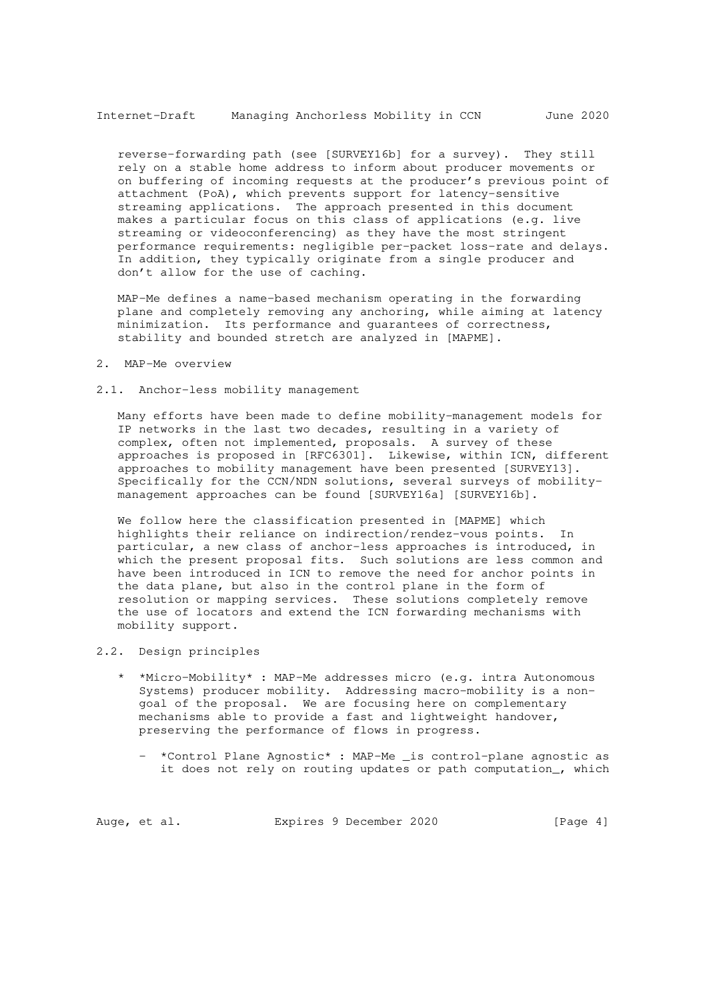reverse-forwarding path (see [SURVEY16b] for a survey). They still rely on a stable home address to inform about producer movements or on buffering of incoming requests at the producer's previous point of attachment (PoA), which prevents support for latency-sensitive streaming applications. The approach presented in this document makes a particular focus on this class of applications (e.g. live streaming or videoconferencing) as they have the most stringent performance requirements: negligible per-packet loss-rate and delays. In addition, they typically originate from a single producer and don't allow for the use of caching.

 MAP-Me defines a name-based mechanism operating in the forwarding plane and completely removing any anchoring, while aiming at latency minimization. Its performance and guarantees of correctness, stability and bounded stretch are analyzed in [MAPME].

## 2. MAP-Me overview

## 2.1. Anchor-less mobility management

 Many efforts have been made to define mobility-management models for IP networks in the last two decades, resulting in a variety of complex, often not implemented, proposals. A survey of these approaches is proposed in [RFC6301]. Likewise, within ICN, different approaches to mobility management have been presented [SURVEY13]. Specifically for the CCN/NDN solutions, several surveys of mobility management approaches can be found [SURVEY16a] [SURVEY16b].

 We follow here the classification presented in [MAPME] which highlights their reliance on indirection/rendez-vous points. In particular, a new class of anchor-less approaches is introduced, in which the present proposal fits. Such solutions are less common and have been introduced in ICN to remove the need for anchor points in the data plane, but also in the control plane in the form of resolution or mapping services. These solutions completely remove the use of locators and extend the ICN forwarding mechanisms with mobility support.

## 2.2. Design principles

- \* \*Micro-Mobility\* : MAP-Me addresses micro (e.g. intra Autonomous Systems) producer mobility. Addressing macro-mobility is a non goal of the proposal. We are focusing here on complementary mechanisms able to provide a fast and lightweight handover, preserving the performance of flows in progress.
	- \*Control Plane Agnostic\* : MAP-Me \_is control-plane agnostic as it does not rely on routing updates or path computation\_, which

Auge, et al. Expires 9 December 2020 [Page 4]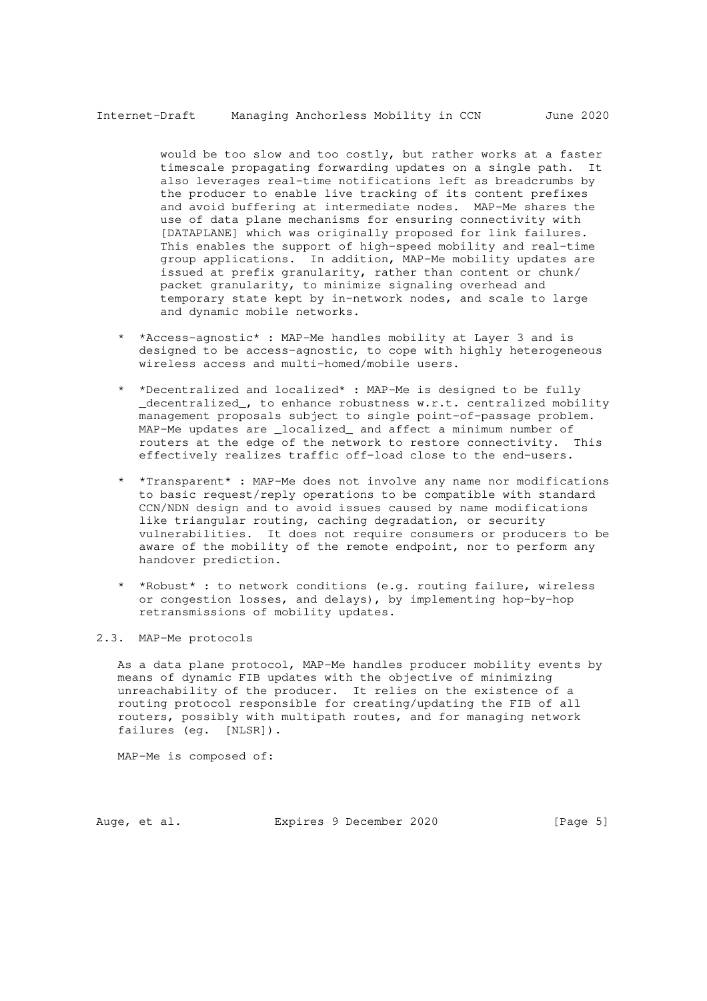would be too slow and too costly, but rather works at a faster timescale propagating forwarding updates on a single path. It also leverages real-time notifications left as breadcrumbs by the producer to enable live tracking of its content prefixes and avoid buffering at intermediate nodes. MAP-Me shares the use of data plane mechanisms for ensuring connectivity with [DATAPLANE] which was originally proposed for link failures. This enables the support of high-speed mobility and real-time group applications. In addition, MAP-Me mobility updates are issued at prefix granularity, rather than content or chunk/ packet granularity, to minimize signaling overhead and temporary state kept by in-network nodes, and scale to large and dynamic mobile networks.

- \* \*Access-agnostic\* : MAP-Me handles mobility at Layer 3 and is designed to be access-agnostic, to cope with highly heterogeneous wireless access and multi-homed/mobile users.
- \* \*Decentralized and localized\* : MAP-Me is designed to be fully \_decentralized\_, to enhance robustness w.r.t. centralized mobility management proposals subject to single point-of-passage problem. MAP-Me updates are \_localized\_ and affect a minimum number of routers at the edge of the network to restore connectivity. This effectively realizes traffic off-load close to the end-users.
- \* \*Transparent\* : MAP-Me does not involve any name nor modifications to basic request/reply operations to be compatible with standard CCN/NDN design and to avoid issues caused by name modifications like triangular routing, caching degradation, or security vulnerabilities. It does not require consumers or producers to be aware of the mobility of the remote endpoint, nor to perform any handover prediction.
- \* \*Robust\* : to network conditions (e.g. routing failure, wireless or congestion losses, and delays), by implementing hop-by-hop retransmissions of mobility updates.

# 2.3. MAP-Me protocols

 As a data plane protocol, MAP-Me handles producer mobility events by means of dynamic FIB updates with the objective of minimizing unreachability of the producer. It relies on the existence of a routing protocol responsible for creating/updating the FIB of all routers, possibly with multipath routes, and for managing network failures (eg. [NLSR]).

MAP-Me is composed of:

Auge, et al. Expires 9 December 2020 [Page 5]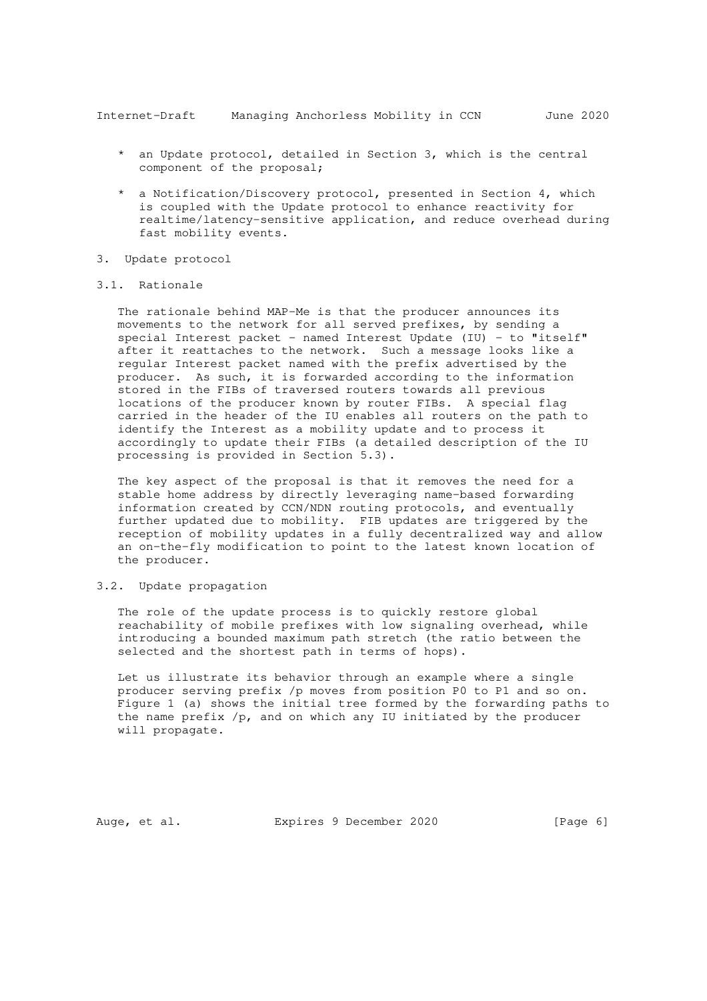- \* an Update protocol, detailed in Section 3, which is the central component of the proposal;
- \* a Notification/Discovery protocol, presented in Section 4, which is coupled with the Update protocol to enhance reactivity for realtime/latency-sensitive application, and reduce overhead during fast mobility events.
- 3. Update protocol
- 3.1. Rationale

 The rationale behind MAP-Me is that the producer announces its movements to the network for all served prefixes, by sending a special Interest packet - named Interest Update (IU) - to "itself" after it reattaches to the network. Such a message looks like a regular Interest packet named with the prefix advertised by the producer. As such, it is forwarded according to the information stored in the FIBs of traversed routers towards all previous locations of the producer known by router FIBs. A special flag carried in the header of the IU enables all routers on the path to identify the Interest as a mobility update and to process it accordingly to update their FIBs (a detailed description of the IU processing is provided in Section 5.3).

 The key aspect of the proposal is that it removes the need for a stable home address by directly leveraging name-based forwarding information created by CCN/NDN routing protocols, and eventually further updated due to mobility. FIB updates are triggered by the reception of mobility updates in a fully decentralized way and allow an on-the-fly modification to point to the latest known location of the producer.

# 3.2. Update propagation

 The role of the update process is to quickly restore global reachability of mobile prefixes with low signaling overhead, while introducing a bounded maximum path stretch (the ratio between the selected and the shortest path in terms of hops).

 Let us illustrate its behavior through an example where a single producer serving prefix /p moves from position P0 to P1 and so on. Figure 1 (a) shows the initial tree formed by the forwarding paths to the name prefix /p, and on which any IU initiated by the producer will propagate.

Auge, et al. Expires 9 December 2020 [Page 6]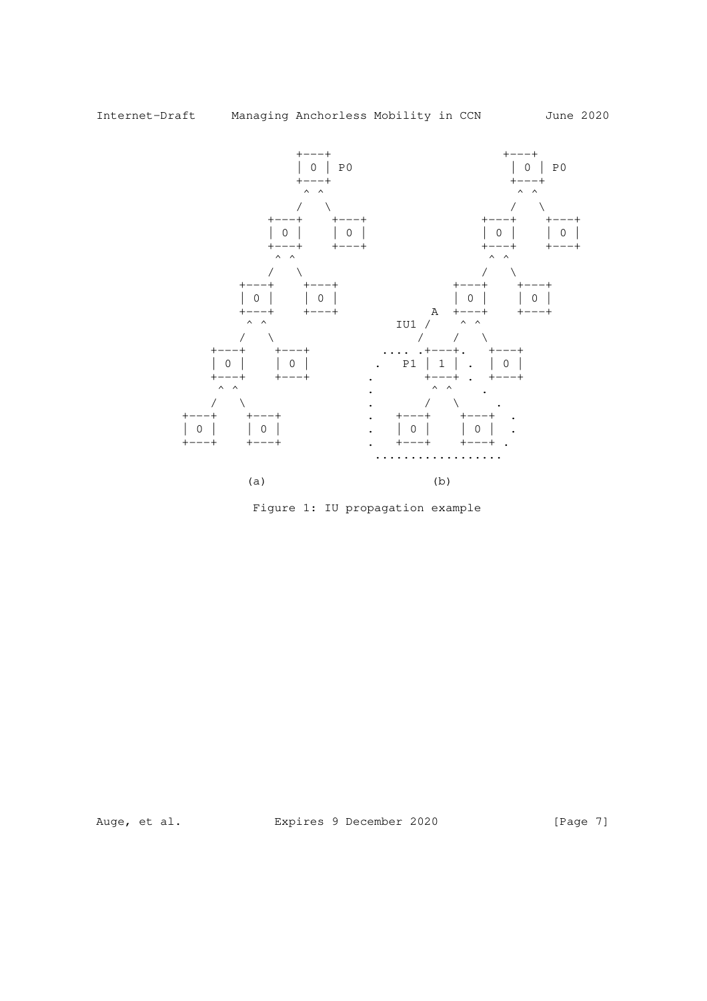

Figure 1: IU propagation example

Auge, et al. Expires 9 December 2020 [Page 7]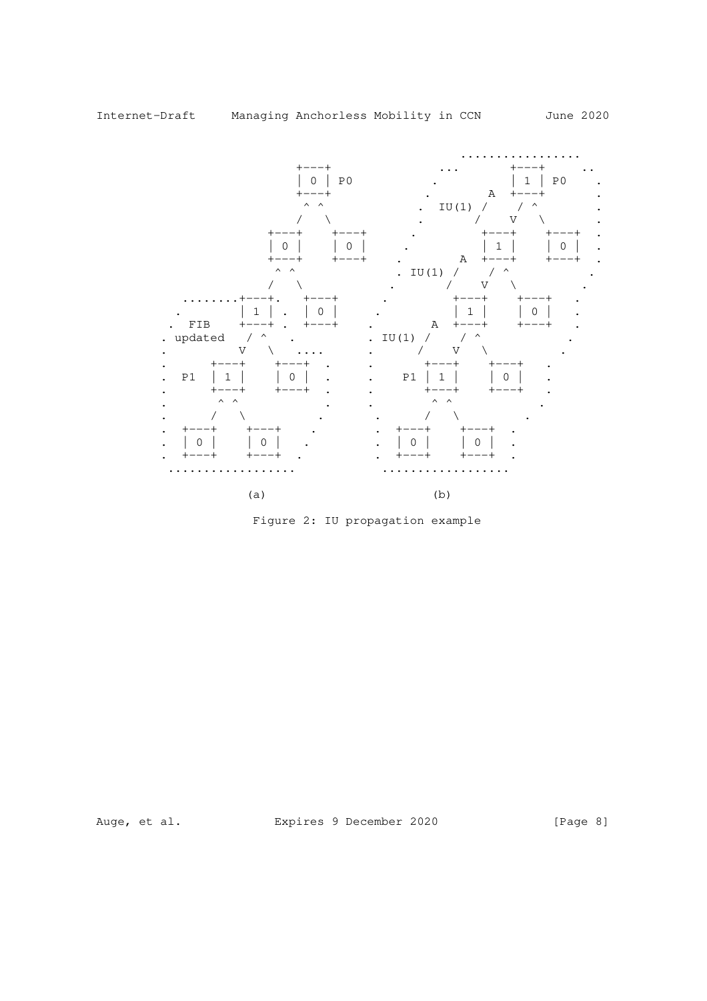

Figure 2: IU propagation example

Auge, et al. Expires 9 December 2020

[Page 8]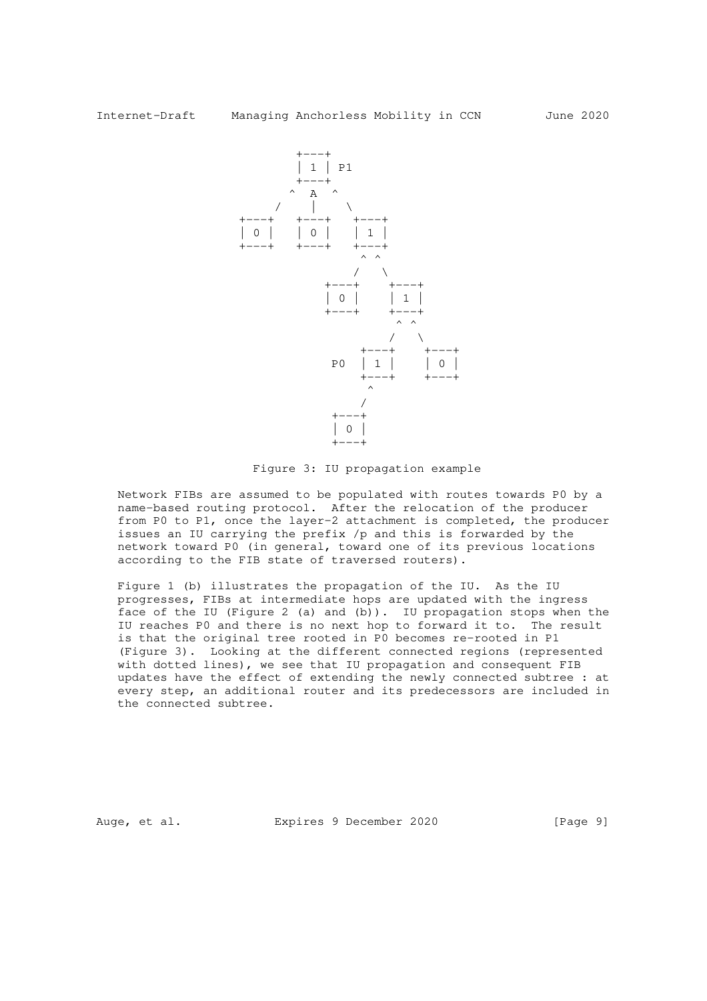

Figure 3: IU propagation example

 Network FIBs are assumed to be populated with routes towards P0 by a name-based routing protocol. After the relocation of the producer from P0 to P1, once the layer-2 attachment is completed, the producer issues an IU carrying the prefix /p and this is forwarded by the network toward P0 (in general, toward one of its previous locations according to the FIB state of traversed routers).

 Figure 1 (b) illustrates the propagation of the IU. As the IU progresses, FIBs at intermediate hops are updated with the ingress face of the IU (Figure 2 (a) and (b)). IU propagation stops when the IU reaches P0 and there is no next hop to forward it to. The result is that the original tree rooted in P0 becomes re-rooted in P1 (Figure 3). Looking at the different connected regions (represented with dotted lines), we see that IU propagation and consequent FIB updates have the effect of extending the newly connected subtree : at every step, an additional router and its predecessors are included in the connected subtree.

Auge, et al. Expires 9 December 2020 [Page 9]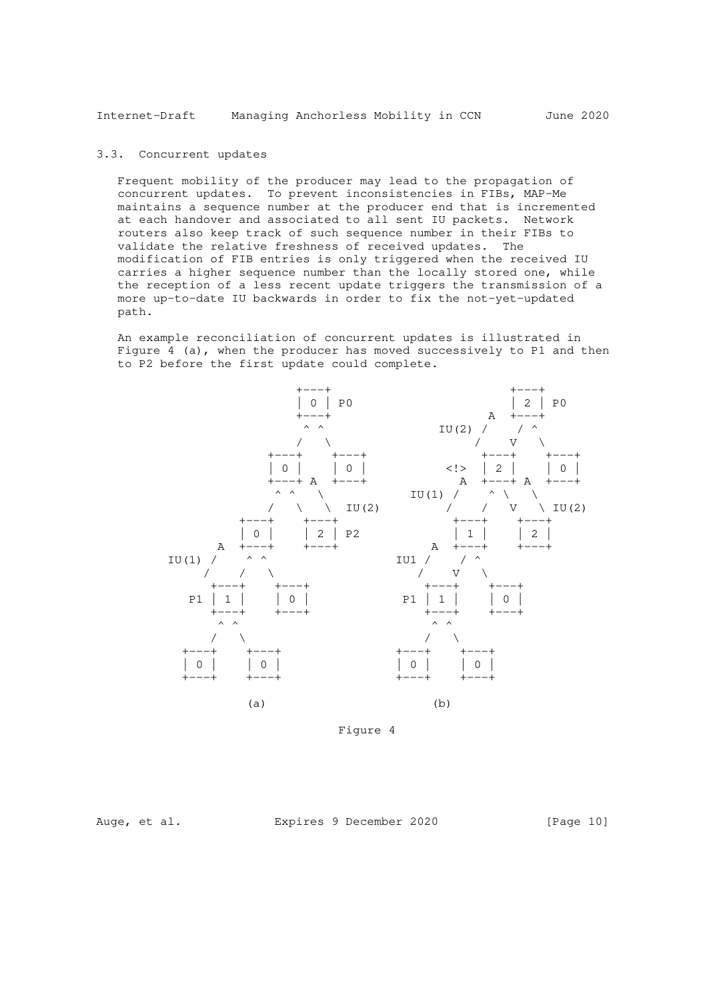# 3.3. Concurrent updates

 Frequent mobility of the producer may lead to the propagation of concurrent updates. To prevent inconsistencies in FIBs, MAP-Me maintains a sequence number at the producer end that is incremented at each handover and associated to all sent IU packets. Network routers also keep track of such sequence number in their FIBs to validate the relative freshness of received updates. The modification of FIB entries is only triggered when the received IU carries a higher sequence number than the locally stored one, while the reception of a less recent update triggers the transmission of a more up-to-date IU backwards in order to fix the not-yet-updated path.

 An example reconciliation of concurrent updates is illustrated in Figure 4 (a), when the producer has moved successively to P1 and then to P2 before the first update could complete.



Figure 4

Auge, et al. Expires 9 December 2020 [Page 10]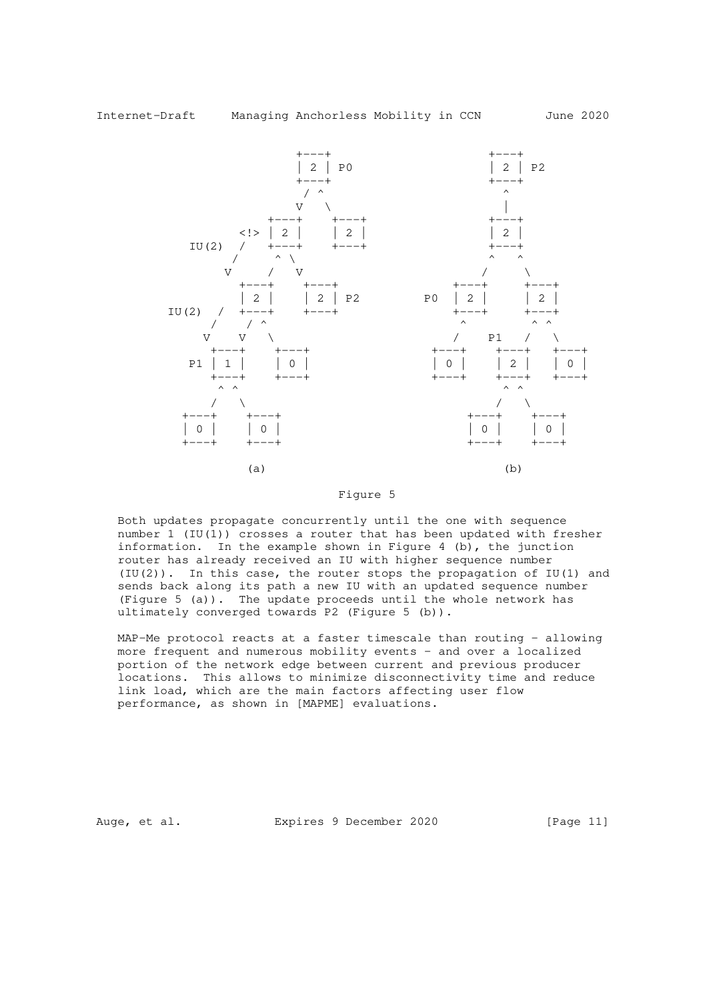

## Figure 5

 Both updates propagate concurrently until the one with sequence number 1 (IU(1)) crosses a router that has been updated with fresher information. In the example shown in Figure 4 (b), the junction router has already received an IU with higher sequence number (IU(2)). In this case, the router stops the propagation of IU(1) and sends back along its path a new IU with an updated sequence number (Figure 5 (a)). The update proceeds until the whole network has ultimately converged towards P2 (Figure 5 (b)).

 MAP-Me protocol reacts at a faster timescale than routing - allowing more frequent and numerous mobility events - and over a localized portion of the network edge between current and previous producer locations. This allows to minimize disconnectivity time and reduce link load, which are the main factors affecting user flow performance, as shown in [MAPME] evaluations.

Auge, et al. Expires 9 December 2020 [Page 11]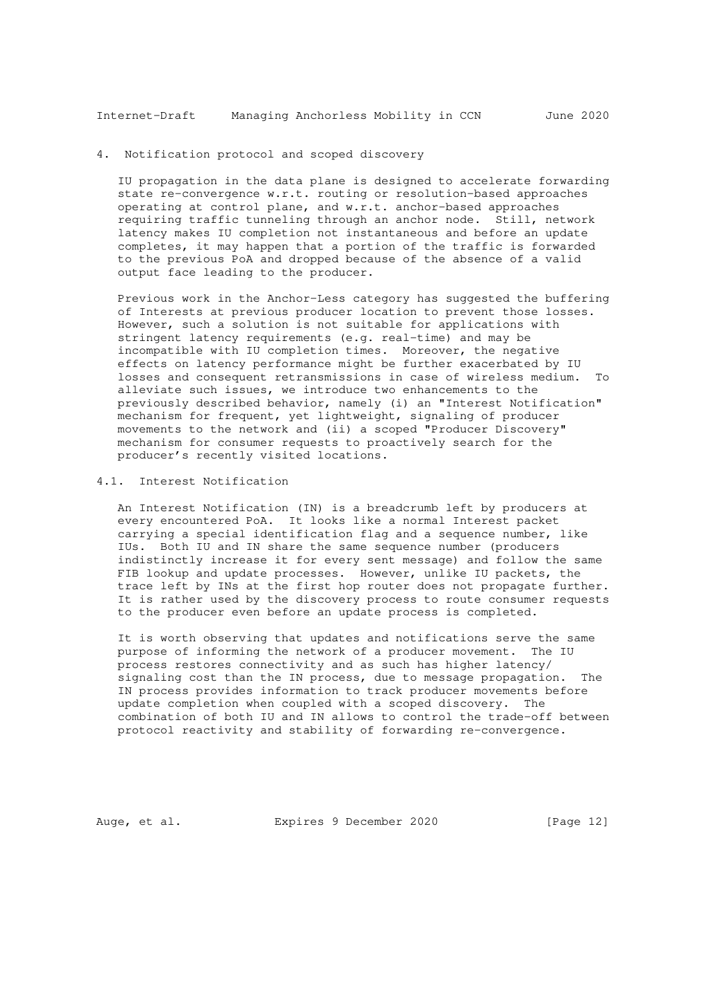# 4. Notification protocol and scoped discovery

 IU propagation in the data plane is designed to accelerate forwarding state re-convergence w.r.t. routing or resolution-based approaches operating at control plane, and w.r.t. anchor-based approaches requiring traffic tunneling through an anchor node. Still, network latency makes IU completion not instantaneous and before an update completes, it may happen that a portion of the traffic is forwarded to the previous PoA and dropped because of the absence of a valid output face leading to the producer.

 Previous work in the Anchor-Less category has suggested the buffering of Interests at previous producer location to prevent those losses. However, such a solution is not suitable for applications with stringent latency requirements (e.g. real-time) and may be incompatible with IU completion times. Moreover, the negative effects on latency performance might be further exacerbated by IU losses and consequent retransmissions in case of wireless medium. To alleviate such issues, we introduce two enhancements to the previously described behavior, namely (i) an "Interest Notification" mechanism for frequent, yet lightweight, signaling of producer movements to the network and (ii) a scoped "Producer Discovery" mechanism for consumer requests to proactively search for the producer's recently visited locations.

## 4.1. Interest Notification

 An Interest Notification (IN) is a breadcrumb left by producers at every encountered PoA. It looks like a normal Interest packet carrying a special identification flag and a sequence number, like IUs. Both IU and IN share the same sequence number (producers indistinctly increase it for every sent message) and follow the same FIB lookup and update processes. However, unlike IU packets, the trace left by INs at the first hop router does not propagate further. It is rather used by the discovery process to route consumer requests to the producer even before an update process is completed.

 It is worth observing that updates and notifications serve the same purpose of informing the network of a producer movement. The IU process restores connectivity and as such has higher latency/ signaling cost than the IN process, due to message propagation. The IN process provides information to track producer movements before update completion when coupled with a scoped discovery. The combination of both IU and IN allows to control the trade-off between protocol reactivity and stability of forwarding re-convergence.

Auge, et al. Expires 9 December 2020 [Page 12]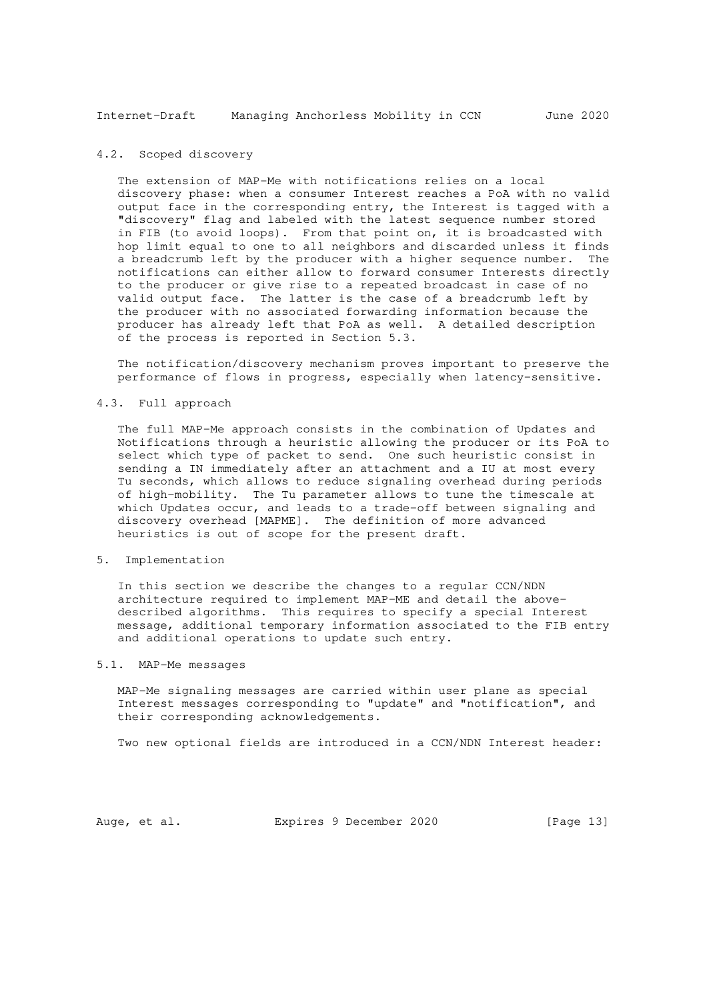Internet-Draft Managing Anchorless Mobility in CCN June 2020

### 4.2. Scoped discovery

 The extension of MAP-Me with notifications relies on a local discovery phase: when a consumer Interest reaches a PoA with no valid output face in the corresponding entry, the Interest is tagged with a "discovery" flag and labeled with the latest sequence number stored in FIB (to avoid loops). From that point on, it is broadcasted with hop limit equal to one to all neighbors and discarded unless it finds a breadcrumb left by the producer with a higher sequence number. The notifications can either allow to forward consumer Interests directly to the producer or give rise to a repeated broadcast in case of no valid output face. The latter is the case of a breadcrumb left by the producer with no associated forwarding information because the producer has already left that PoA as well. A detailed description of the process is reported in Section 5.3.

 The notification/discovery mechanism proves important to preserve the performance of flows in progress, especially when latency-sensitive.

#### 4.3. Full approach

 The full MAP-Me approach consists in the combination of Updates and Notifications through a heuristic allowing the producer or its PoA to select which type of packet to send. One such heuristic consist in sending a IN immediately after an attachment and a IU at most every Tu seconds, which allows to reduce signaling overhead during periods of high-mobility. The Tu parameter allows to tune the timescale at which Updates occur, and leads to a trade-off between signaling and discovery overhead [MAPME]. The definition of more advanced heuristics is out of scope for the present draft.

#### 5. Implementation

 In this section we describe the changes to a regular CCN/NDN architecture required to implement MAP-ME and detail the above described algorithms. This requires to specify a special Interest message, additional temporary information associated to the FIB entry and additional operations to update such entry.

## 5.1. MAP-Me messages

 MAP-Me signaling messages are carried within user plane as special Interest messages corresponding to "update" and "notification", and their corresponding acknowledgements.

Two new optional fields are introduced in a CCN/NDN Interest header:

Auge, et al. Expires 9 December 2020 [Page 13]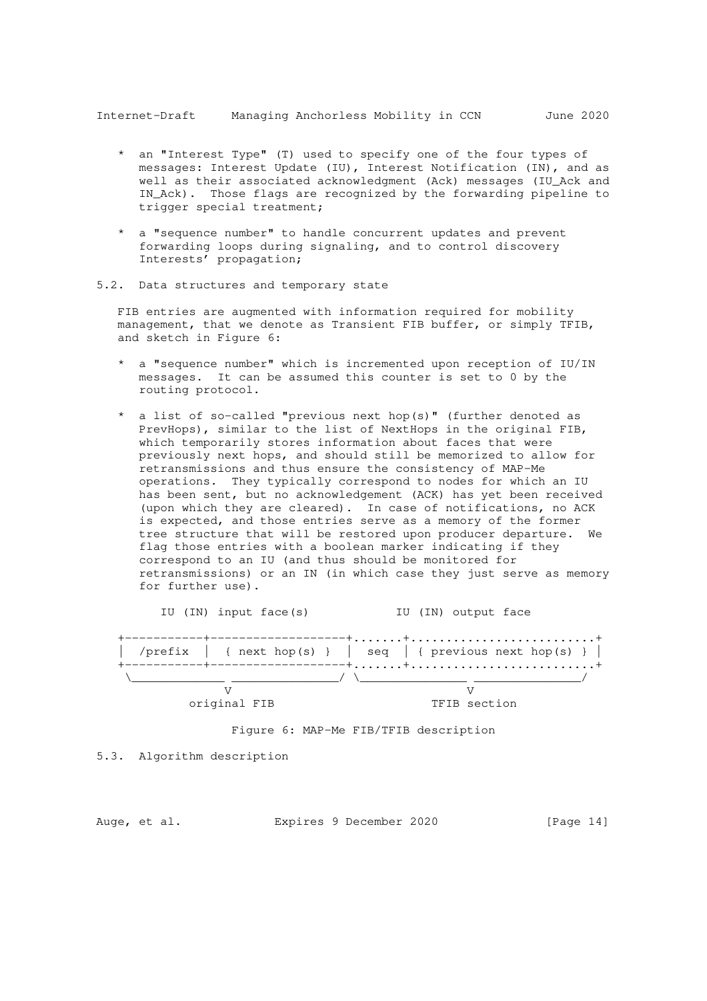- \* an "Interest Type" (T) used to specify one of the four types of messages: Interest Update (IU), Interest Notification (IN), and as well as their associated acknowledgment (Ack) messages (IU\_Ack and IN\_Ack). Those flags are recognized by the forwarding pipeline to trigger special treatment;
	- \* a "sequence number" to handle concurrent updates and prevent forwarding loops during signaling, and to control discovery Interests' propagation;
- 5.2. Data structures and temporary state

 FIB entries are augmented with information required for mobility management, that we denote as Transient FIB buffer, or simply TFIB, and sketch in Figure 6:

- \* a "sequence number" which is incremented upon reception of IU/IN messages. It can be assumed this counter is set to 0 by the routing protocol.
- \* a list of so-called "previous next hop(s)" (further denoted as PrevHops), similar to the list of NextHops in the original FIB, which temporarily stores information about faces that were previously next hops, and should still be memorized to allow for retransmissions and thus ensure the consistency of MAP-Me operations. They typically correspond to nodes for which an IU has been sent, but no acknowledgement (ACK) has yet been received (upon which they are cleared). In case of notifications, no ACK is expected, and those entries serve as a memory of the former tree structure that will be restored upon producer departure. We flag those entries with a boolean marker indicating if they correspond to an IU (and thus should be monitored for retransmissions) or an IN (in which case they just serve as memory for further use).

|  | IU (IN) input face(s) | IU (IN) output face                                        |
|--|-----------------------|------------------------------------------------------------|
|  |                       | /prefix   { next hop(s) }   seq   { previous next hop(s) } |
|  |                       |                                                            |
|  | original FIB          | TFIB section                                               |

Figure 6: MAP-Me FIB/TFIB description

5.3. Algorithm description

Auge, et al. Expires 9 December 2020 [Page 14]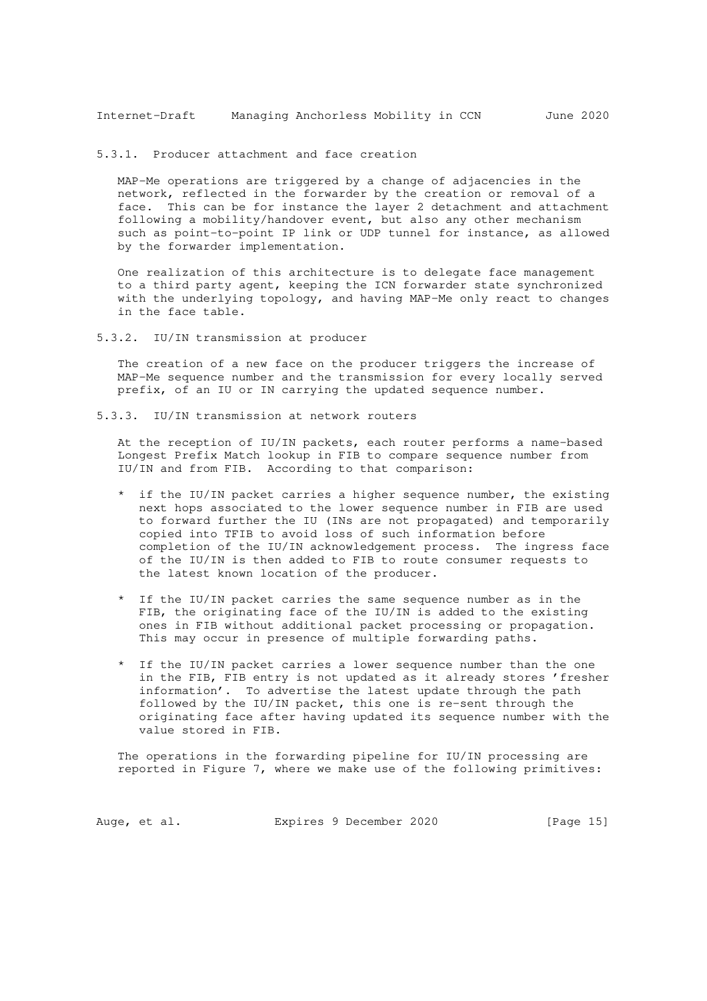5.3.1. Producer attachment and face creation

 MAP-Me operations are triggered by a change of adjacencies in the network, reflected in the forwarder by the creation or removal of a face. This can be for instance the layer 2 detachment and attachment following a mobility/handover event, but also any other mechanism such as point-to-point IP link or UDP tunnel for instance, as allowed by the forwarder implementation.

 One realization of this architecture is to delegate face management to a third party agent, keeping the ICN forwarder state synchronized with the underlying topology, and having MAP-Me only react to changes in the face table.

5.3.2. IU/IN transmission at producer

 The creation of a new face on the producer triggers the increase of MAP-Me sequence number and the transmission for every locally served prefix, of an IU or IN carrying the updated sequence number.

5.3.3. IU/IN transmission at network routers

 At the reception of IU/IN packets, each router performs a name-based Longest Prefix Match lookup in FIB to compare sequence number from IU/IN and from FIB. According to that comparison:

- if the IU/IN packet carries a higher sequence number, the existing next hops associated to the lower sequence number in FIB are used to forward further the IU (INs are not propagated) and temporarily copied into TFIB to avoid loss of such information before completion of the IU/IN acknowledgement process. The ingress face of the IU/IN is then added to FIB to route consumer requests to the latest known location of the producer.
- If the IU/IN packet carries the same sequence number as in the FIB, the originating face of the IU/IN is added to the existing ones in FIB without additional packet processing or propagation. This may occur in presence of multiple forwarding paths.
- If the IU/IN packet carries a lower sequence number than the one in the FIB, FIB entry is not updated as it already stores 'fresher information'. To advertise the latest update through the path followed by the IU/IN packet, this one is re-sent through the originating face after having updated its sequence number with the value stored in FIB.

 The operations in the forwarding pipeline for IU/IN processing are reported in Figure 7, where we make use of the following primitives:

| Auge, et al. | Expires 9 December 2020 | [Page 15] |
|--------------|-------------------------|-----------|
|--------------|-------------------------|-----------|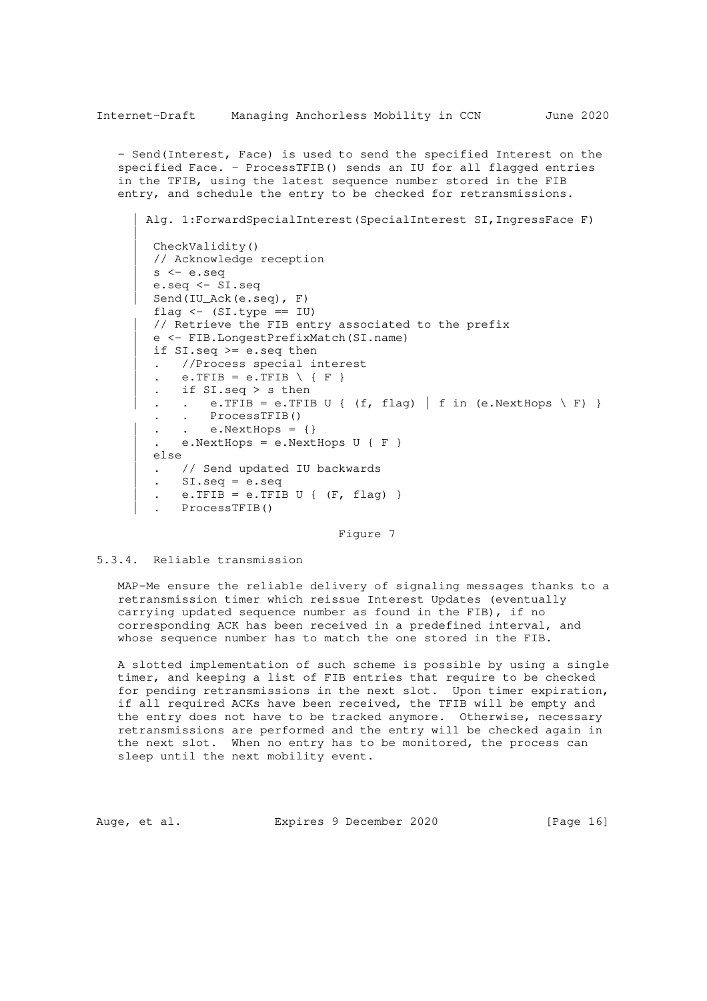- Send(Interest, Face) is used to send the specified Interest on the specified Face. - ProcessTFIB() sends an IU for all flagged entries in the TFIB, using the latest sequence number stored in the FIB entry, and schedule the entry to be checked for retransmissions.

```
 | Alg. 1:ForwardSpecialInterest(SpecialInterest SI,IngressFace F)
 | CheckValidity()
  | // Acknowledge reception
s \leftarrow e.seq
  | e.seq <- SI.seq
  | Send(IU_Ack(e.seq), F)
 flag \leftarrow (SI.type == IU)
// Retrieve the FIB entry associated to the prefix
  | e <- FIB.LongestPrefixMatch(SI.name)
 if SI \text{ .}seq \geq e \text{ .}seq then
     //Process special interest
     e. TFIB = e.TFIB \ { F }
     if SI \text{ .}seq > s then
        e.TFIB = e.TFIB U { (f, flag) | f in (e.NextHops \ F) }
         ProcessTFIB()
         e.NextHops = \{\}e.NextHops = e.NextHops U { F }eRe. // Send updated IU backwards
  | . SI.seq = e.seq
 \therefore e.TFIB = e.TFIB U { (F, flag) }
    | . ProcessTFIB()
```
Figure 7

```
5.3.4. Reliable transmission
```
|| || || || || ||

 MAP-Me ensure the reliable delivery of signaling messages thanks to a retransmission timer which reissue Interest Updates (eventually carrying updated sequence number as found in the FIB), if no corresponding ACK has been received in a predefined interval, and whose sequence number has to match the one stored in the FIB.

 A slotted implementation of such scheme is possible by using a single timer, and keeping a list of FIB entries that require to be checked for pending retransmissions in the next slot. Upon timer expiration, if all required ACKs have been received, the TFIB will be empty and the entry does not have to be tracked anymore. Otherwise, necessary retransmissions are performed and the entry will be checked again in the next slot. When no entry has to be monitored, the process can sleep until the next mobility event.

Auge, et al. Expires 9 December 2020 [Page 16]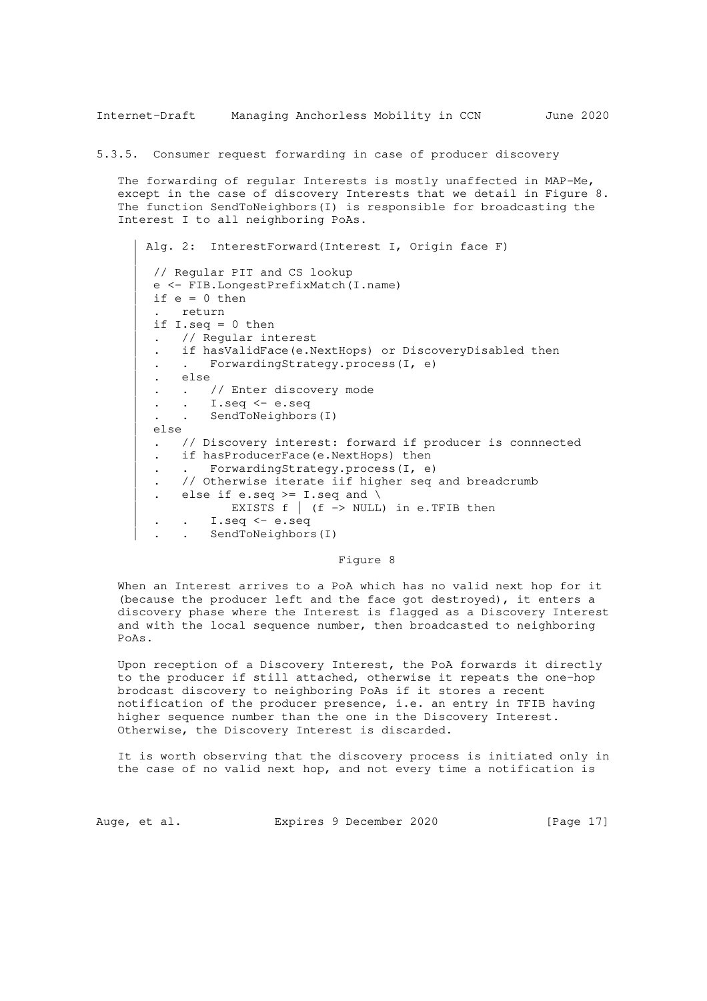|| || || || ||

5.3.5. Consumer request forwarding in case of producer discovery

 The forwarding of regular Interests is mostly unaffected in MAP-Me, except in the case of discovery Interests that we detail in Figure 8. The function SendToNeighbors(I) is responsible for broadcasting the Interest I to all neighboring PoAs.

```
Alg. 2: InterestForward(Interest I, Origin face F)
  | // Regular PIT and CS lookup
  | e <- FIB.LongestPrefixMatch(I.name)
 if e = 0 then
     | . return
 if I.\text{seq} = 0 then
    // Reqular interest
     if hasValidFace(e.NextHops) or DiscoveryDisabled then
     . ForwardingStrategy.process(I, e)
     else
         // Enter discovery mode
          | . . I.seq <- e.seq
         SendToNeighbors(I)
 else
    // Discovery interest: forward if producer is connnected
    if hasProducerFace(e.NextHops) then
 . . ForwardingStrategy.process(I, e)
 . // Otherwise iterate iif higher seq and breadcrumb
 . else if e.seq >= I.seq and \
            EXISTS f \mid (f \rightarrow NULL) in e.TFIB then
  | . . I.seq <- e.seq
     . SendToNeighbors(I)
```
Figure 8

 When an Interest arrives to a PoA which has no valid next hop for it (because the producer left and the face got destroyed), it enters a discovery phase where the Interest is flagged as a Discovery Interest and with the local sequence number, then broadcasted to neighboring PoAs.

 Upon reception of a Discovery Interest, the PoA forwards it directly to the producer if still attached, otherwise it repeats the one-hop brodcast discovery to neighboring PoAs if it stores a recent notification of the producer presence, i.e. an entry in TFIB having higher sequence number than the one in the Discovery Interest. Otherwise, the Discovery Interest is discarded.

 It is worth observing that the discovery process is initiated only in the case of no valid next hop, and not every time a notification is

Auge, et al. Expires 9 December 2020 [Page 17]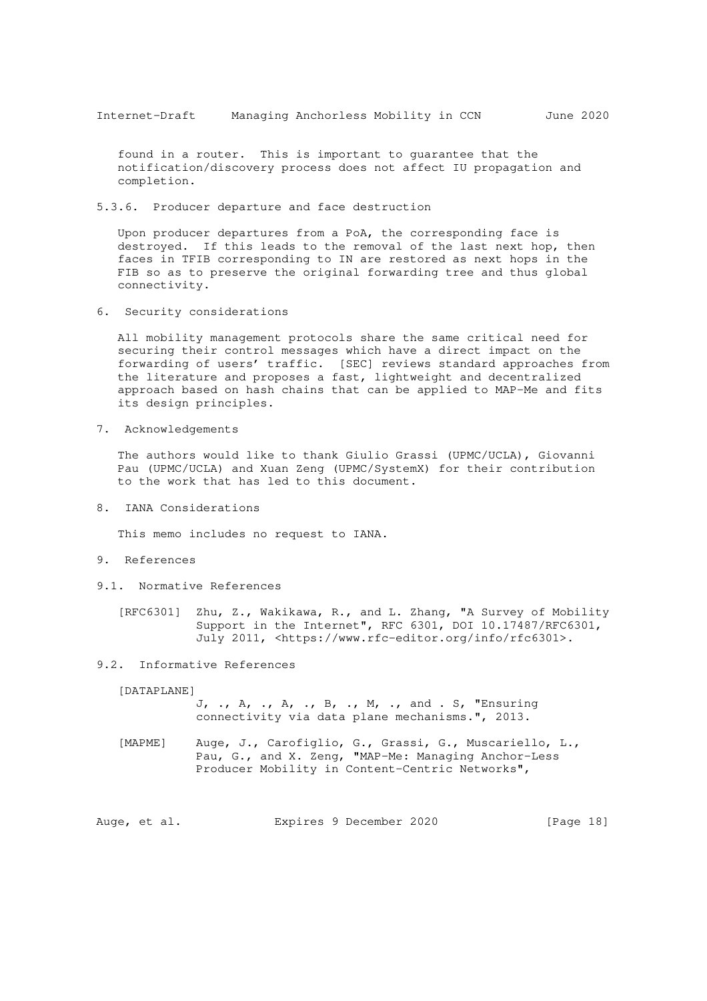found in a router. This is important to guarantee that the notification/discovery process does not affect IU propagation and completion.

5.3.6. Producer departure and face destruction

 Upon producer departures from a PoA, the corresponding face is destroyed. If this leads to the removal of the last next hop, then faces in TFIB corresponding to IN are restored as next hops in the FIB so as to preserve the original forwarding tree and thus global connectivity.

6. Security considerations

 All mobility management protocols share the same critical need for securing their control messages which have a direct impact on the forwarding of users' traffic. [SEC] reviews standard approaches from the literature and proposes a fast, lightweight and decentralized approach based on hash chains that can be applied to MAP-Me and fits its design principles.

7. Acknowledgements

 The authors would like to thank Giulio Grassi (UPMC/UCLA), Giovanni Pau (UPMC/UCLA) and Xuan Zeng (UPMC/SystemX) for their contribution to the work that has led to this document.

8. IANA Considerations

This memo includes no request to IANA.

- 9. References
- 9.1. Normative References

 [RFC6301] Zhu, Z., Wakikawa, R., and L. Zhang, "A Survey of Mobility Support in the Internet", RFC 6301, DOI 10.17487/RFC6301, July 2011, <https://www.rfc-editor.org/info/rfc6301>.

9.2. Informative References

[DATAPLANE]

 J, ., A, ., A, ., B, ., M, ., and . S, "Ensuring connectivity via data plane mechanisms.", 2013.

 [MAPME] Auge, J., Carofiglio, G., Grassi, G., Muscariello, L., Pau, G., and X. Zeng, "MAP-Me: Managing Anchor-Less Producer Mobility in Content-Centric Networks",

Auge, et al. Expires 9 December 2020 [Page 18]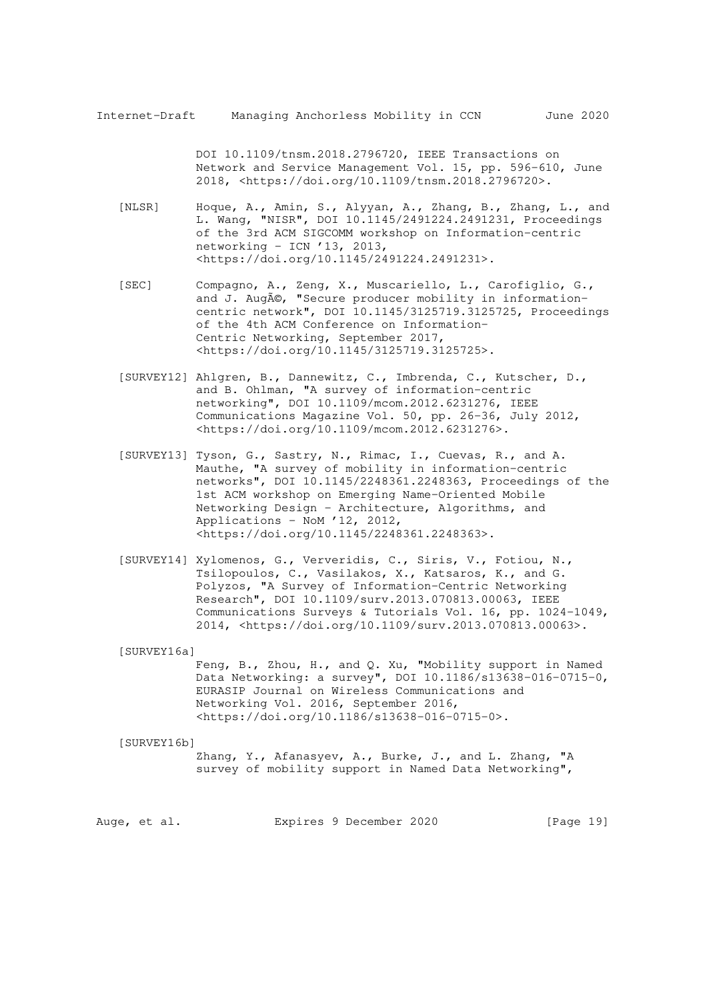DOI 10.1109/tnsm.2018.2796720, IEEE Transactions on Network and Service Management Vol. 15, pp. 596-610, June 2018, <https://doi.org/10.1109/tnsm.2018.2796720>.

- [NLSR] Hoque, A., Amin, S., Alyyan, A., Zhang, B., Zhang, L., and L. Wang, "NISR", DOI 10.1145/2491224.2491231, Proceedings of the 3rd ACM SIGCOMM workshop on Information-centric networking - ICN '13, 2013, <https://doi.org/10.1145/2491224.2491231>.
- [SEC] Compagno, A., Zeng, X., Muscariello, L., Carofiglio, G., and J. Augé, "Secure producer mobility in information centric network", DOI 10.1145/3125719.3125725, Proceedings of the 4th ACM Conference on Information- Centric Networking, September 2017, <https://doi.org/10.1145/3125719.3125725>.
- [SURVEY12] Ahlgren, B., Dannewitz, C., Imbrenda, C., Kutscher, D., and B. Ohlman, "A survey of information-centric networking", DOI 10.1109/mcom.2012.6231276, IEEE Communications Magazine Vol. 50, pp. 26-36, July 2012, <https://doi.org/10.1109/mcom.2012.6231276>.
- [SURVEY13] Tyson, G., Sastry, N., Rimac, I., Cuevas, R., and A. Mauthe, "A survey of mobility in information-centric networks", DOI 10.1145/2248361.2248363, Proceedings of the 1st ACM workshop on Emerging Name-Oriented Mobile Networking Design - Architecture, Algorithms, and Applications - NoM '12, 2012, <https://doi.org/10.1145/2248361.2248363>.
- [SURVEY14] Xylomenos, G., Ververidis, C., Siris, V., Fotiou, N., Tsilopoulos, C., Vasilakos, X., Katsaros, K., and G. Polyzos, "A Survey of Information-Centric Networking Research", DOI 10.1109/surv.2013.070813.00063, IEEE Communications Surveys & Tutorials Vol. 16, pp. 1024-1049, 2014, <https://doi.org/10.1109/surv.2013.070813.00063>.

[SURVEY16a]

 Feng, B., Zhou, H., and Q. Xu, "Mobility support in Named Data Networking: a survey", DOI 10.1186/s13638-016-0715-0, EURASIP Journal on Wireless Communications and Networking Vol. 2016, September 2016, <https://doi.org/10.1186/s13638-016-0715-0>.

#### [SURVEY16b]

 Zhang, Y., Afanasyev, A., Burke, J., and L. Zhang, "A survey of mobility support in Named Data Networking",

Auge, et al. Expires 9 December 2020 [Page 19]